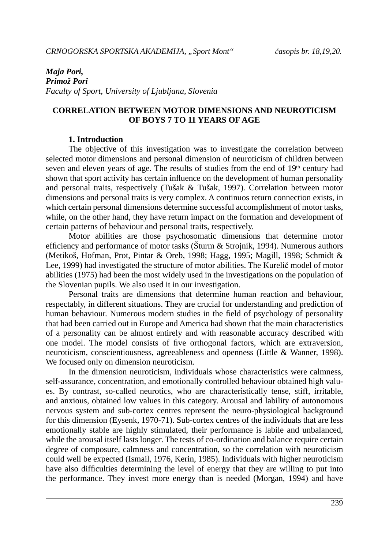# *Maja Pori, Primož Pori Faculty of Sport, University of Ljubljana, Slovenia*

### **CORRELATION BETWEEN MOTOR DIMENSIONS AND NEUROTICISM OF BOYS 7 TO 11 YEARS OF AGE**

### **1. Introduction**

The objective of this investigation was to investigate the correlation between selected motor dimensions and personal dimension of neuroticism of children between seven and eleven years of age. The results of studies from the end of  $19<sup>th</sup>$  century had shown that sport activity has certain influence on the development of human personality and personal traits, respectively (Tušak & Tušak, 1997). Correlation between motor dimensions and personal traits is very complex. A continuos return connection exists, in which certain personal dimensions determine successful accomplishment of motor tasks, while, on the other hand, they have return impact on the formation and development of certain patterns of behaviour and personal traits, respectively.

Motor abilities are those psychosomatic dimensions that determine motor efficiency and performance of motor tasks (Šturm  $&$  Strojnik, 1994). Numerous authors (Metikoš, Hofman, Prot, Pintar & Oreb, 1998; Hagg, 1995; Magill, 1998; Schmidt & Lee, 1999) had investigated the structure of motor abilities. The Kurelič model of motor abilities (1975) had been the most widely used in the investigations on the population of the Slovenian pupils. We also used it in our investigation.

Personal traits are dimensions that determine human reaction and behaviour, respectably, in different situations. They are crucial for understanding and prediction of human behaviour. Numerous modern studies in the field of psychology of personality that had been carried out in Europe and America had shown that the main characteristics of a personality can be almost entirely and with reasonable accuracy described with one model. The model consists of five orthogonal factors, which are extraversion, neuroticism, conscientiousness, agreeableness and openness (Little & Wanner, 1998). We focused only on dimension neuroticism.

In the dimension neuroticism, individuals whose characteristics were calmness, self-assurance, concentration, and emotionally controlled behaviour obtained high values. By contrast, so-called neurotics, who are characteristically tense, stiff, irritable, and anxious, obtained low values in this category. Arousal and lability of autonomous nervous system and sub-cortex centres represent the neuro-physiological background for this dimension (Eysenk, 1970-71). Sub-cortex centres of the individuals that are less emotionally stable are highly stimulated, their performance is labile and unbalanced, while the arousal itself lasts longer. The tests of co-ordination and balance require certain degree of composure, calmness and concentration, so the correlation with neuroticism could well be expected (Ismail, 1976, Kerin, 1985). Individuals with higher neuroticism have also difficulties determining the level of energy that they are willing to put into the performance. They invest more energy than is needed (Morgan, 1994) and have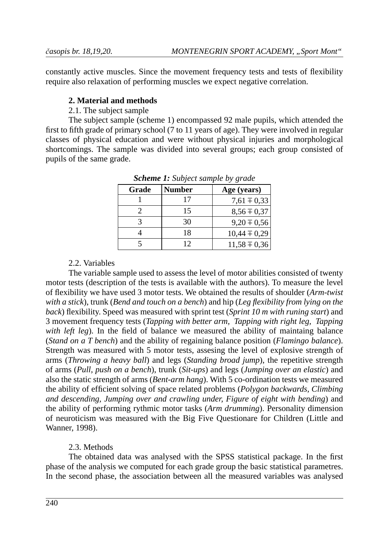constantly active muscles. Since the movement frequency tests and tests of flexibility require also relaxation of performing muscles we expect negative correlation.

## **2. Material and methods**

2.1. The subject sample

The subject sample (scheme 1) encompassed 92 male pupils, which attended the first to fifth grade of primary school  $(7 \text{ to } 11 \text{ years of age})$ . They were involved in regular classes of physical education and were without physical injuries and morphological shortcomings. The sample was divided into several groups; each group consisted of pupils of the same grade.

| Grade | Number | Age (years)      |
|-------|--------|------------------|
|       | 17     | $7,61 \pm 0,33$  |
|       | 15     | $8,56 \pm 0,37$  |
|       | 30     | $9,20 \pm 0,56$  |
|       | 18     | $10,44 \pm 0,29$ |
|       | 12     | $11,58 \pm 0,36$ |

*Scheme 1: Subject sample by grade* 

## 2.2. Variables

The variable sample used to assess the level of motor abilities consisted of twenty motor tests (description of the tests is available with the authors). To measure the level of fl exibility we have used 3 motor tests. We obtained the results of shoulder (*Arm-twist with a stick*), trunk (*Bend and touch on a bench*) and hip (*Leg fl exibility from lying on the back*) flexibility. Speed was measured with sprint test (*Sprint 10 m with runing start*) and 3 movement frequency tests (*Tapping with better arm, Tapping with right leg, Tapping with left leg*). In the field of balance we measured the ability of maintaing balance (*Stand on a T bench*) and the ability of regaining balance position (*Flamingo balance*). Strength was measured with 5 motor tests, assesing the level of explosive strength of arms (*Throwing a heavy ball*) and legs (*Standing broad jump*), the repetitive strength of arms (*Pull, push on a bench*), trunk (*Sit-ups*) and legs (*Jumping over an elastic*) and also the static strength of arms (*Bent-arm hang*). With 5 co-ordination tests we measured the ability of efficient solving of space related problems (*Polygon backwards, Climbing and descending, Jumping over and crawling under, Figure of eight with bending*) and the ability of performing rythmic motor tasks (*Arm drumming*). Personality dimension of neuroticism was measured with the Big Five Questionare for Children (Little and Wanner, 1998).

# 2.3. Methods

The obtained data was analysed with the SPSS statistical package. In the first phase of the analysis we computed for each grade group the basic statistical parametres. In the second phase, the association between all the measured variables was analysed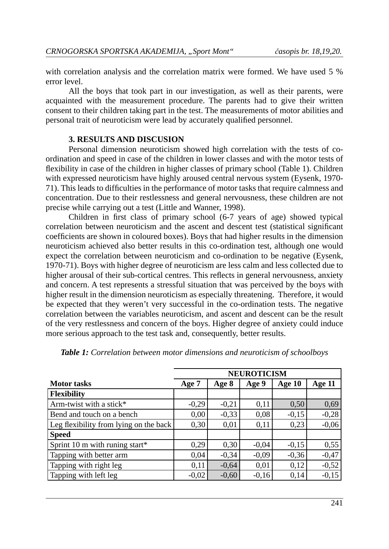with correlation analysis and the correlation matrix were formed. We have used 5 % error level.

All the boys that took part in our investigation, as well as their parents, were acquainted with the measurement procedure. The parents had to give their written consent to their children taking part in the test. The measurements of motor abilities and personal trait of neuroticism were lead by accurately qualified personnel.

### **3. RESULTS AND DISCUSION**

Personal dimension neuroticism showed high correlation with the tests of coordination and speed in case of the children in lower classes and with the motor tests of flexibility in case of the children in higher classes of primary school (Table 1). Children with expressed neuroticism have highly aroused central nervous system (Eysenk, 1970- 71). This leads to difficulties in the performance of motor tasks that require calmness and concentration. Due to their restlessness and general nervousness, these children are not precise while carrying out a test (Little and Wanner, 1998).

Children in first class of primary school  $(6-7)$  years of age) showed typical correlation between neuroticism and the ascent and descent test (statistical significant coefficients are shown in coloured boxes). Boys that had higher results in the dimension neuroticism achieved also better results in this co-ordination test, although one would expect the correlation between neuroticism and co-ordination to be negative (Eysenk, 1970-71). Boys with higher degree of neuroticism are less calm and less collected due to higher arousal of their sub-cortical centres. This reflects in general nervousness, anxiety and concern. A test represents a stressful situation that was perceived by the boys with higher result in the dimension neuroticism as especially threatening. Therefore, it would be expected that they weren't very successful in the co-ordination tests. The negative correlation between the variables neuroticism, and ascent and descent can be the result of the very restlessness and concern of the boys. Higher degree of anxiety could induce more serious approach to the test task and, consequently, better results.

|                                        | <b>NEUROTICISM</b> |         |         |         |         |  |
|----------------------------------------|--------------------|---------|---------|---------|---------|--|
| <b>Motor tasks</b>                     | Age 7              | Age 8   | Age 9   | Age 10  | Age 11  |  |
| <b>Flexibility</b>                     |                    |         |         |         |         |  |
| Arm-twist with a stick $*$             | $-0,29$            | $-0,21$ | 0,11    | 0,50    | 0,69    |  |
| Bend and touch on a bench              | 0,00               | $-0,33$ | 0,08    | $-0,15$ | $-0,28$ |  |
| Leg flexibility from lying on the back | 0,30               | 0,01    | 0,11    | 0,23    | $-0,06$ |  |
| <b>Speed</b>                           |                    |         |         |         |         |  |
| Sprint 10 m with runing start*         | 0,29               | 0,30    | $-0,04$ | $-0,15$ | 0,55    |  |
| Tapping with better arm                | 0,04               | $-0,34$ | $-0.09$ | $-0,36$ | $-0,47$ |  |
| Tapping with right leg                 | 0,11               | $-0.64$ | 0,01    | 0,12    | $-0,52$ |  |
| Tapping with left leg                  | $-0,02$            | $-0,60$ | $-0,16$ | 0,14    | $-0,15$ |  |

*Table 1: Correlation between motor dimensions and neuroticism of schoolboys*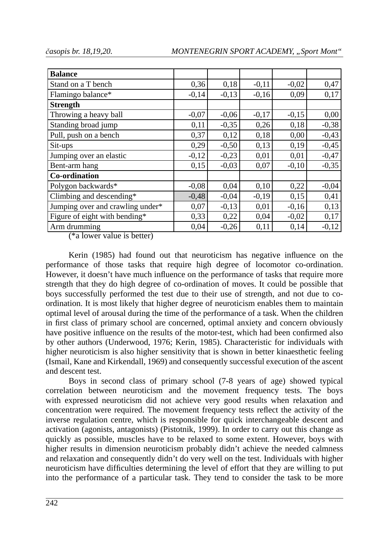| <b>Balance</b>                   |         |         |         |         |         |
|----------------------------------|---------|---------|---------|---------|---------|
| Stand on a T bench               | 0,36    | 0,18    | $-0,11$ | $-0,02$ | 0,47    |
| Flamingo balance*                | $-0,14$ | $-0,13$ | $-0,16$ | 0,09    | 0,17    |
| <b>Strength</b>                  |         |         |         |         |         |
| Throwing a heavy ball            | $-0,07$ | $-0,06$ | $-0,17$ | $-0,15$ | 0,00    |
| Standing broad jump              | 0,11    | $-0,35$ | 0,26    | 0,18    | $-0,38$ |
| Pull, push on a bench            | 0,37    | 0,12    | 0,18    | 0,00    | $-0,43$ |
| Sit-ups                          | 0,29    | $-0,50$ | 0,13    | 0,19    | $-0,45$ |
| Jumping over an elastic          | $-0,12$ | $-0,23$ | 0,01    | 0,01    | $-0,47$ |
| Bent-arm hang                    | 0,15    | $-0,03$ | 0,07    | $-0,10$ | $-0,35$ |
| Co-ordination                    |         |         |         |         |         |
| Polygon backwards*               | $-0,08$ | 0,04    | 0,10    | 0,22    | $-0,04$ |
| Climbing and descending*         | $-0,48$ | $-0,04$ | $-0,19$ | 0,15    | 0,41    |
| Jumping over and crawling under* | 0,07    | $-0,13$ | 0,01    | $-0,16$ | 0,13    |
| Figure of eight with bending*    | 0,33    | 0,22    | 0,04    | $-0,02$ | 0,17    |
| Arm drumming                     | 0,04    | $-0,26$ | 0,11    | 0,14    | $-0,12$ |

(\*a lower value is better)

Kerin (1985) had found out that neuroticism has negative influence on the performance of those tasks that require high degree of locomotor co-ordination. However, it doesn't have much influence on the performance of tasks that require more strength that they do high degree of co-ordination of moves. It could be possible that boys successfully performed the test due to their use of strength, and not due to coordination. It is most likely that higher degree of neuroticism enables them to maintain optimal level of arousal during the time of the performance of a task. When the children in first class of primary school are concerned, optimal anxiety and concern obviously have positive influence on the results of the motor-test, which had been confirmed also by other authors (Underwood, 1976; Kerin, 1985). Characteristic for individuals with higher neuroticism is also higher sensitivity that is shown in better kinaesthetic feeling (Ismail, Kane and Kirkendall, 1969) and consequently successful execution of the ascent and descent test.

Boys in second class of primary school (7-8 years of age) showed typical correlation between neuroticism and the movement frequency tests. The boys with expressed neuroticism did not achieve very good results when relaxation and concentration were required. The movement frequency tests reflect the activity of the inverse regulation centre, which is responsible for quick interchangeable descent and activation (agonists, antagonists) (Pistotnik, 1999). In order to carry out this change as quickly as possible, muscles have to be relaxed to some extent. However, boys with higher results in dimension neuroticism probably didn't achieve the needed calmness and relaxation and consequently didn't do very well on the test. Individuals with higher neuroticism have difficulties determining the level of effort that they are willing to put into the performance of a particular task. They tend to consider the task to be more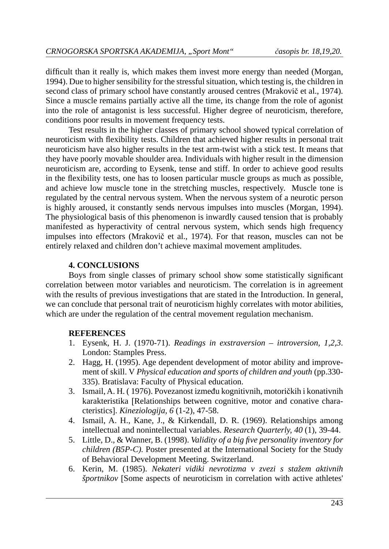difficult than it really is, which makes them invest more energy than needed (Morgan, 1994). Due to higher sensibility for the stressful situation, which testing is, the children in second class of primary school have constantly aroused centres (Mrakovič et al., 1974). Since a muscle remains partially active all the time, its change from the role of agonist into the role of antagonist is less successful. Higher degree of neuroticism, therefore, conditions poor results in movement frequency tests.

Test results in the higher classes of primary school showed typical correlation of neuroticism with flexibility tests. Children that achieved higher results in personal trait neuroticism have also higher results in the test arm-twist with a stick test. It means that they have poorly movable shoulder area. Individuals with higher result in the dimension neuroticism are, according to Eysenk, tense and stiff. In order to achieve good results in the flexibility tests, one has to loosen particular muscle groups as much as possible, and achieve low muscle tone in the stretching muscles, respectively. Muscle tone is regulated by the central nervous system. When the nervous system of a neurotic person is highly aroused, it constantly sends nervous impulses into muscles (Morgan, 1994). The physiological basis of this phenomenon is inwardly caused tension that is probably manifested as hyperactivity of central nervous system, which sends high frequency impulses into effectors (Mrakovič et al., 1974). For that reason, muscles can not be entirely relaxed and children don't achieve maximal movement amplitudes.

## **4. CONCLUSIONS**

Boys from single classes of primary school show some statistically significant correlation between motor variables and neuroticism. The correlation is in agreement with the results of previous investigations that are stated in the Introduction. In general, we can conclude that personal trait of neuroticism highly correlates with motor abilities, which are under the regulation of the central movement regulation mechanism.

### **REFERENCES**

- 1. Eysenk, H. J. (1970-71). *Readings in exstraversion introversion, 1,2,3*. London: Stamples Press.
- 2. Hagg, H. (1995). Age dependent development of motor ability and improvement of skill. V *Physical education and sports of children and youth* (pp.330- 335). Bratislava: Faculty of Physical education.
- 3. Ismail, A. H. ( 1976). Povezanost između kognitivnih, motoričkih i konativnih karakteristika [Relationships between cognitive, motor and conative character istics. *Kineziologija, 6* (1-2), 47-58.
- 4. Ismail, A. H., Kane, J., & Kirkendall, D. R. (1969). Relationships among intellectual and nonintellectual variables. *Research Quarterly, 40* (1), 39-44.
- 5. Little, D., & Wanner, B. (1998). *Validity of a big fi ve personality inventory for children (B5P-C).* Poster presented at the International Society for the Study of Behavioral Development Meeting. Switzerland.
- 6. Kerin, M. (1985). *Nekateri vidiki nevrotizma v zvezi s stažem aktivnih športnikov* [Some aspects of neuroticism in correlation with active athletes'